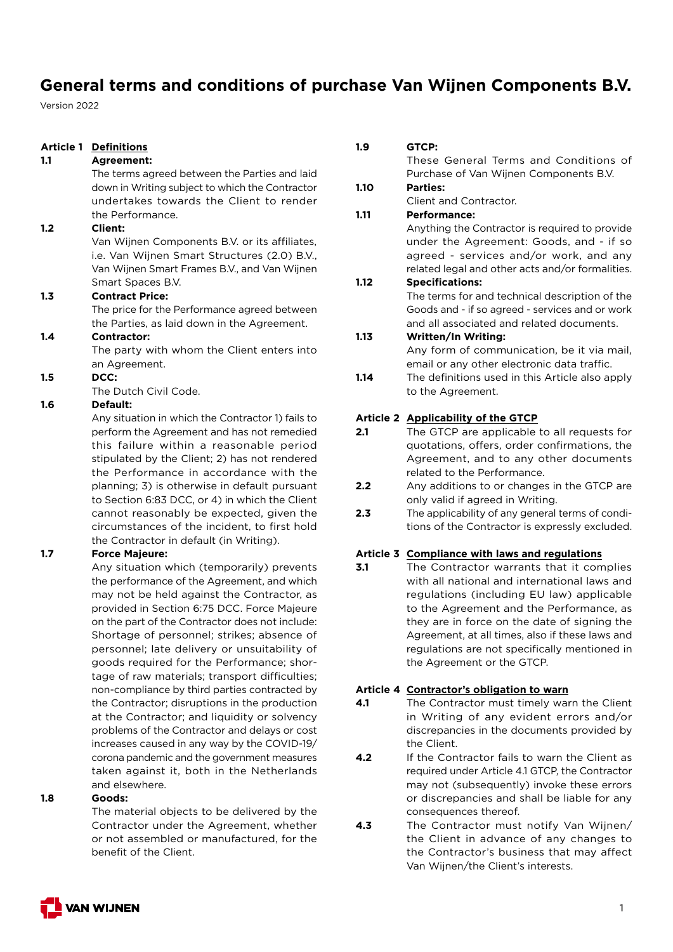Version 2022

## **Article 1 Definitions**

### **1.1 Agreement:**

 The terms agreed between the Parties and laid down in Writing subject to which the Contractor undertakes towards the Client to render the Performance.

#### **1.2 Client:**

Van Wijnen Components B.V. or its affiliates, i.e. Van Wijnen Smart Structures (2.0) B.V., Van Wijnen Smart Frames B.V., and Van Wijnen Smart Spaces B.V.

### **1.3 Contract Price:**

 The price for the Performance agreed between the Parties, as laid down in the Agreement.

### **1.4 Contractor:**

 The party with whom the Client enters into an Agreement.

#### **1.5 DCC:**

The Dutch Civil Code.

#### **1.6 Default:**

 Any situation in which the Contractor 1) fails to perform the Agreement and has not remedied this failure within a reasonable period stipulated by the Client; 2) has not rendered the Performance in accordance with the planning; 3) is otherwise in default pursuant to Section 6:83 DCC, or 4) in which the Client cannot reasonably be expected, given the circumstances of the incident, to first hold the Contractor in default (in Writing).

#### **1.7 Force Majeure:**

 Any situation which (temporarily) prevents the performance of the Agreement, and which may not be held against the Contractor, as provided in Section 6:75 DCC. Force Majeure on the part of the Contractor does not include: Shortage of personnel; strikes; absence of personnel; late delivery or unsuitability of goods required for the Performance; shortage of raw materials; transport difficulties; non-compliance by third parties contracted by the Contractor; disruptions in the production at the Contractor; and liquidity or solvency problems of the Contractor and delays or cost increases caused in any way by the COVID-19/ corona pandemic and the government measures taken against it, both in the Netherlands and elsewhere.

#### **1.8 Goods:**

 The material objects to be delivered by the Contractor under the Agreement, whether or not assembled or manufactured, for the benefit of the Client.

#### **1.9 GTCP:**

 These General Terms and Conditions of Purchase of Van Wijnen Components B.V.

## **1.10 Parties:**

Client and Contractor.

### **1.11 Performance:**

 Anything the Contractor is required to provide under the Agreement: Goods, and - if so agreed - services and/or work, and any related legal and other acts and/or formalities.

#### **1.12 Specifications:**

 The terms for and technical description of the Goods and - if so agreed - services and or work and all associated and related documents.

#### **1.13 Written/In Writing:**

 Any form of communication, be it via mail, email or any other electronic data traffic.

**1.14** The definitions used in this Article also apply to the Agreement.

#### **Article 2 Applicability of the GTCP**

- **2.1** The GTCP are applicable to all requests for quotations, offers, order confirmations, the Agreement, and to any other documents related to the Performance.
- **2.2** Any additions to or changes in the GTCP are only valid if agreed in Writing.
- **2.3** The applicability of any general terms of conditions of the Contractor is expressly excluded.

### **Article 3 Compliance with laws and regulations**

**3.1** The Contractor warrants that it complies with all national and international laws and regulations (including EU law) applicable to the Agreement and the Performance, as they are in force on the date of signing the Agreement, at all times, also if these laws and regulations are not specifically mentioned in the Agreement or the GTCP.

#### **Article 4 Contractor's obligation to warn**

- **4.1** The Contractor must timely warn the Client in Writing of any evident errors and/or discrepancies in the documents provided by the Client.
- **4.2** If the Contractor fails to warn the Client as required under Article 4.1 GTCP, the Contractor may not (subsequently) invoke these errors or discrepancies and shall be liable for any consequences thereof.
- **4.3** The Contractor must notify Van Wijnen/ the Client in advance of any changes to the Contractor's business that may affect Van Wijnen/the Client's interests.

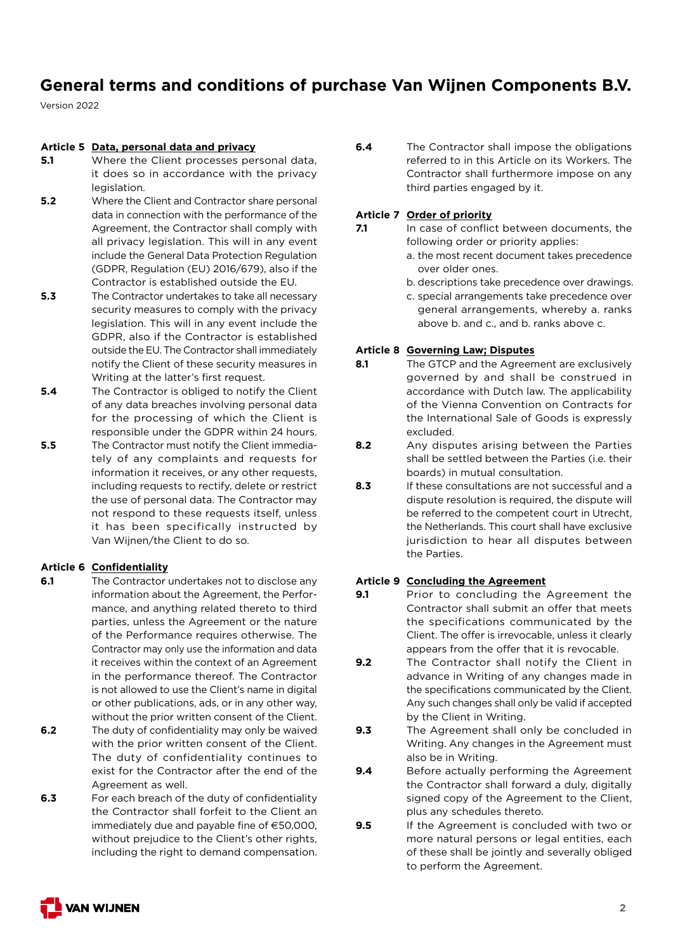Version 2022

### **Article 5 Data, personal data and privacy**

- **5.1** Where the Client processes personal data, it does so in accordance with the privacy legislation.
- **5.2** Where the Client and Contractor share personal data in connection with the performance of the Agreement, the Contractor shall comply with all privacy legislation. This will in any event include the General Data Protection Regulation (GDPR, Regulation (EU) 2016/679), also if the Contractor is established outside the EU.
- **5.3** The Contractor undertakes to take all necessary security measures to comply with the privacy legislation. This will in any event include the GDPR, also if the Contractor is established outside the EU. The Contractor shall immediately notify the Client of these security measures in Writing at the latter's first request.
- **5.4** The Contractor is obliged to notify the Client of any data breaches involving personal data for the processing of which the Client is responsible under the GDPR within 24 hours.
- **5.5** The Contractor must notify the Client immediately of any complaints and requests for information it receives, or any other requests, including requests to rectify, delete or restrict the use of personal data. The Contractor may not respond to these requests itself, unless it has been specifically instructed by Van Wijnen/the Client to do so.

## **Article 6 Confidentiality**

- **6.1** The Contractor undertakes not to disclose any information about the Agreement, the Performance, and anything related thereto to third parties, unless the Agreement or the nature of the Performance requires otherwise. The Contractor may only use the information and data it receives within the context of an Agreement in the performance thereof. The Contractor is not allowed to use the Client's name in digital or other publications, ads, or in any other way, without the prior written consent of the Client.
- **6.2** The duty of confidentiality may only be waived with the prior written consent of the Client. The duty of confidentiality continues to exist for the Contractor after the end of the Agreement as well.
- **6.3** For each breach of the duty of confidentiality the Contractor shall forfeit to the Client an immediately due and payable fine of  $\epsilon$ 50,000. without prejudice to the Client's other rights, including the right to demand compensation.

**6.4** The Contractor shall impose the obligations referred to in this Article on its Workers. The Contractor shall furthermore impose on any third parties engaged by it.

## **Article 7 Order of priority**

- **7.1** In case of conflict between documents, the following order or priority applies:
	- a. the most recent document takes precedence over older ones.
	- b. descriptions take precedence over drawings.
	- c. special arrangements take precedence over general arrangements, whereby a. ranks above b. and c., and b. ranks above c.

## **Article 8 Governing Law; Disputes**

- **8.1** The GTCP and the Agreement are exclusively governed by and shall be construed in accordance with Dutch law. The applicability of the Vienna Convention on Contracts for the International Sale of Goods is expressly excluded.
- **8.2** Any disputes arising between the Parties shall be settled between the Parties (i.e. their boards) in mutual consultation.
- **8.3** If these consultations are not successful and a dispute resolution is required, the dispute will be referred to the competent court in Utrecht, the Netherlands. This court shall have exclusive jurisdiction to hear all disputes between the Parties.

## **Article 9 Concluding the Agreement**

- **9.1** Prior to concluding the Agreement the Contractor shall submit an offer that meets the specifications communicated by the Client. The offer is irrevocable, unless it clearly appears from the offer that it is revocable.
- **9.2** The Contractor shall notify the Client in advance in Writing of any changes made in the specifications communicated by the Client. Any such changes shall only be valid if accepted by the Client in Writing.
- **9.3** The Agreement shall only be concluded in Writing. Any changes in the Agreement must also be in Writing.
- **9.4** Before actually performing the Agreement the Contractor shall forward a duly, digitally signed copy of the Agreement to the Client, plus any schedules thereto.
- **9.5** If the Agreement is concluded with two or more natural persons or legal entities, each of these shall be jointly and severally obliged to perform the Agreement.

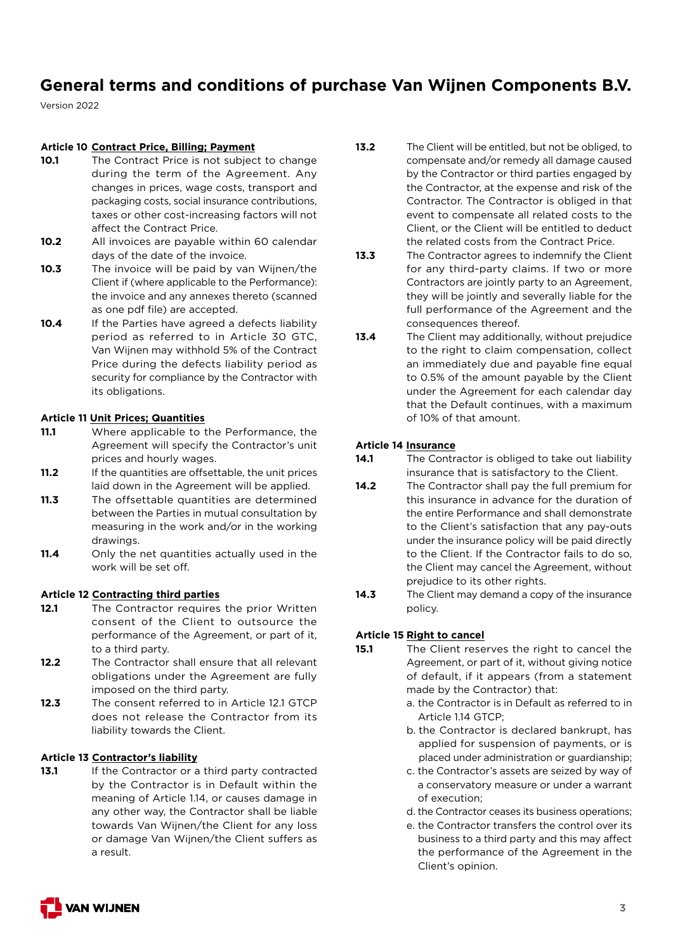Version 2022

### **Article 10 Contract Price, Billing; Payment**

- 10.1 The Contract Price is not subject to change during the term of the Agreement. Any changes in prices, wage costs, transport and packaging costs, social insurance contributions, taxes or other cost-increasing factors will not affect the Contract Price.
- **10.2** All invoices are payable within 60 calendar days of the date of the invoice.
- **10.3** The invoice will be paid by van Wijnen/the Client if (where applicable to the Performance): the invoice and any annexes thereto (scanned as one pdf file) are accepted.
- **10.4** If the Parties have agreed a defects liability period as referred to in Article 30 GTC, Van Wijnen may withhold 5% of the Contract Price during the defects liability period as security for compliance by the Contractor with its obligations.

#### **Article 11 Unit Prices; Quantities**

- **11.1** Where applicable to the Performance, the Agreement will specify the Contractor's unit prices and hourly wages.
- **11.2** If the quantities are offsettable, the unit prices laid down in the Agreement will be applied.
- **11.3** The offsettable quantities are determined between the Parties in mutual consultation by measuring in the work and/or in the working drawings.
- **11.4** Only the net quantities actually used in the work will be set off.

#### **Article 12 Contracting third parties**

- **12.1** The Contractor requires the prior Written consent of the Client to outsource the performance of the Agreement, or part of it, to a third party.
- **12.2** The Contractor shall ensure that all relevant obligations under the Agreement are fully imposed on the third party.
- **12.3** The consent referred to in Article 12.1 GTCP does not release the Contractor from its liability towards the Client.

#### **Article 13 Contractor's liability**

**13.1** If the Contractor or a third party contracted by the Contractor is in Default within the meaning of Article 1.14, or causes damage in any other way, the Contractor shall be liable towards Van Wijnen/the Client for any loss or damage Van Wijnen/the Client suffers as a result.

- **13.2** The Client will be entitled, but not be obliged, to compensate and/or remedy all damage caused by the Contractor or third parties engaged by the Contractor, at the expense and risk of the Contractor. The Contractor is obliged in that event to compensate all related costs to the Client, or the Client will be entitled to deduct the related costs from the Contract Price.
- **13.3** The Contractor agrees to indemnify the Client for any third-party claims. If two or more Contractors are jointly party to an Agreement, they will be jointly and severally liable for the full performance of the Agreement and the consequences thereof.
- **13.4** The Client may additionally, without prejudice to the right to claim compensation, collect an immediately due and payable fine equal to 0.5% of the amount payable by the Client under the Agreement for each calendar day that the Default continues, with a maximum of 10% of that amount.

## **Article 14 Insurance**

- **14.1** The Contractor is obliged to take out liability insurance that is satisfactory to the Client.
- 14.2 The Contractor shall pay the full premium for this insurance in advance for the duration of the entire Performance and shall demonstrate to the Client's satisfaction that any pay-outs under the insurance policy will be paid directly to the Client. If the Contractor fails to do so, the Client may cancel the Agreement, without prejudice to its other rights.
- **14.3** The Client may demand a copy of the insurance policy.

## **Article 15 Right to cancel**

- **15.1** The Client reserves the right to cancel the Agreement, or part of it, without giving notice of default, if it appears (from a statement made by the Contractor) that:
	- a. the Contractor is in Default as referred to in Article 1.14 GTCP;
	- b. the Contractor is declared bankrupt, has applied for suspension of payments, or is placed under administration or guardianship;
	- c. the Contractor's assets are seized by way of a conservatory measure or under a warrant of execution;
	- d. the Contractor ceases its business operations;
	- e. the Contractor transfers the control over its business to a third party and this may affect the performance of the Agreement in the Client's opinion.

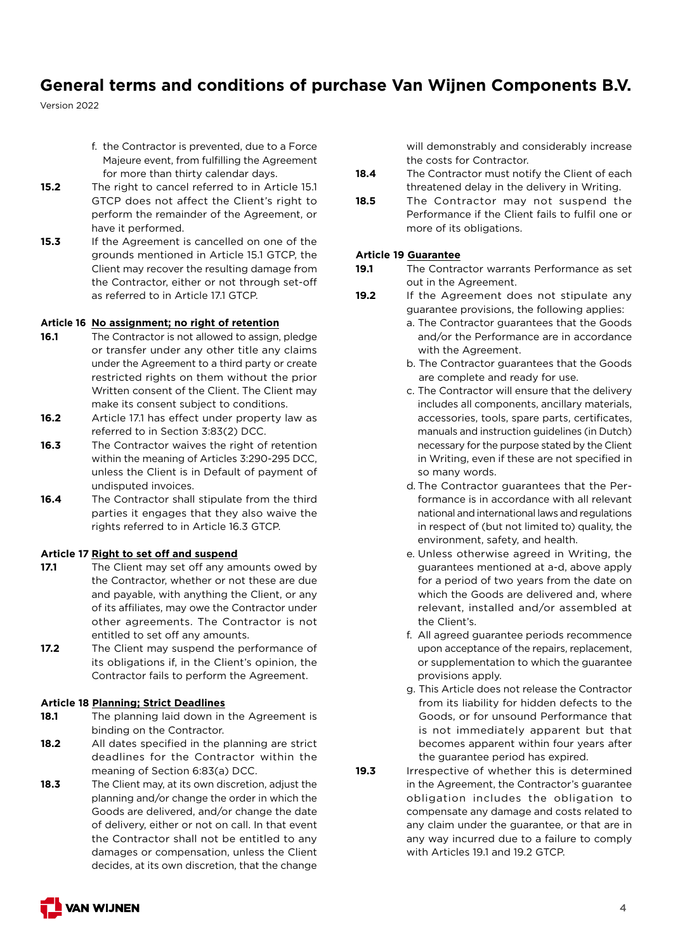Version 2022

- f. the Contractor is prevented, due to a Force Majeure event, from fulfilling the Agreement for more than thirty calendar days.
- **15.2** The right to cancel referred to in Article 15.1 GTCP does not affect the Client's right to perform the remainder of the Agreement, or have it performed.
- **15.3** If the Agreement is cancelled on one of the grounds mentioned in Article 15.1 GTCP, the Client may recover the resulting damage from the Contractor, either or not through set-off as referred to in Article 17.1 GTCP.

## **Article 16 No assignment; no right of retention**

- **16.1** The Contractor is not allowed to assign, pledge or transfer under any other title any claims under the Agreement to a third party or create restricted rights on them without the prior Written consent of the Client. The Client may make its consent subject to conditions.
- **16.2** Article 17.1 has effect under property law as referred to in Section 3:83(2) DCC.
- **16.3** The Contractor waives the right of retention within the meaning of Articles 3:290-295 DCC, unless the Client is in Default of payment of undisputed invoices.
- **16.4** The Contractor shall stipulate from the third parties it engages that they also waive the rights referred to in Article 16.3 GTCP.

#### **Article 17 Right to set off and suspend**

- **17.1** The Client may set off any amounts owed by the Contractor, whether or not these are due and payable, with anything the Client, or any of its affiliates, may owe the Contractor under other agreements. The Contractor is not entitled to set off any amounts.
- **17.2** The Client may suspend the performance of its obligations if, in the Client's opinion, the Contractor fails to perform the Agreement.

## **Article 18 Planning; Strict Deadlines**

- **18.1** The planning laid down in the Agreement is binding on the Contractor.
- **18.2** All dates specified in the planning are strict deadlines for the Contractor within the meaning of Section 6:83(a) DCC.
- **18.3** The Client may, at its own discretion, adjust the planning and/or change the order in which the Goods are delivered, and/or change the date of delivery, either or not on call. In that event the Contractor shall not be entitled to any damages or compensation, unless the Client decides, at its own discretion, that the change

will demonstrably and considerably increase the costs for Contractor.

- 18.4 The Contractor must notify the Client of each threatened delay in the delivery in Writing.
- **18.5** The Contractor may not suspend the Performance if the Client fails to fulfil one or more of its obligations.

## **Article 19 Guarantee**

- **19.1** The Contractor warrants Performance as set out in the Agreement.
- **19.2** If the Agreement does not stipulate any guarantee provisions, the following applies:
	- a. The Contractor guarantees that the Goods and/or the Performance are in accordance with the Agreement.
	- b. The Contractor guarantees that the Goods are complete and ready for use.
	- c. The Contractor will ensure that the delivery includes all components, ancillary materials, accessories, tools, spare parts, certificates, manuals and instruction guidelines (in Dutch) necessary for the purpose stated by the Client in Writing, even if these are not specified in so many words.
	- d. The Contractor guarantees that the Performance is in accordance with all relevant national and international laws and regulations in respect of (but not limited to) quality, the environment, safety, and health.
	- e. Unless otherwise agreed in Writing, the guarantees mentioned at a-d, above apply for a period of two years from the date on which the Goods are delivered and, where relevant, installed and/or assembled at the Client's.
	- f. All agreed guarantee periods recommence upon acceptance of the repairs, replacement, or supplementation to which the guarantee provisions apply.
	- g. This Article does not release the Contractor from its liability for hidden defects to the Goods, or for unsound Performance that is not immediately apparent but that becomes apparent within four years after the guarantee period has expired.
- **19.3** Irrespective of whether this is determined in the Agreement, the Contractor's guarantee obligation includes the obligation to compensate any damage and costs related to any claim under the guarantee, or that are in any way incurred due to a failure to comply with Articles 19.1 and 19.2 GTCP.

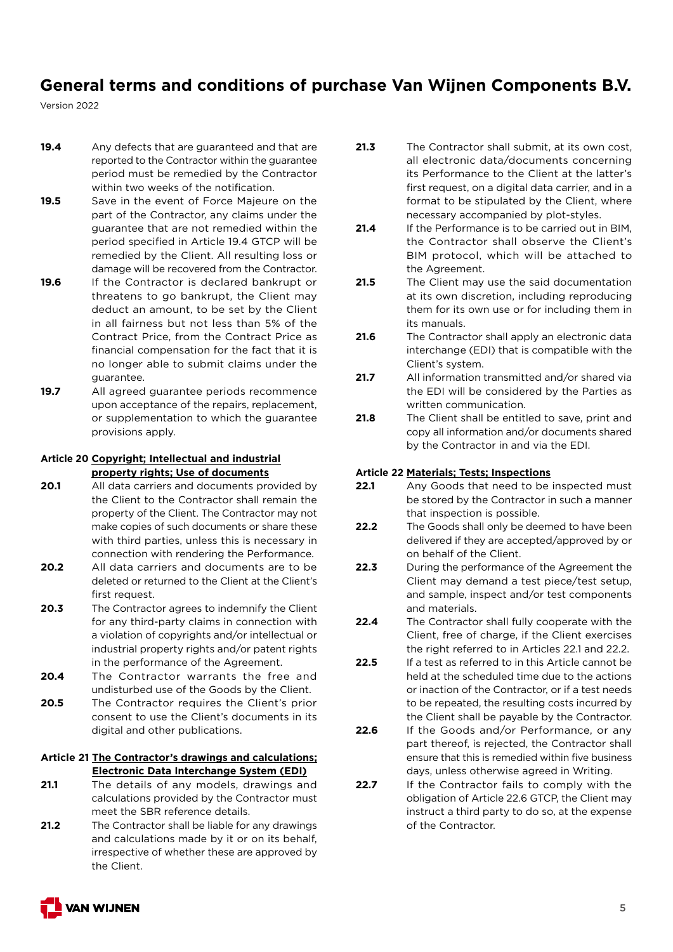Version 2022

- **19.4** Any defects that are guaranteed and that are reported to the Contractor within the guarantee period must be remedied by the Contractor within two weeks of the notification.
- **19.5** Save in the event of Force Majeure on the part of the Contractor, any claims under the guarantee that are not remedied within the period specified in Article 19.4 GTCP will be remedied by the Client. All resulting loss or damage will be recovered from the Contractor.
- **19.6** If the Contractor is declared bankrupt or threatens to go bankrupt, the Client may deduct an amount, to be set by the Client in all fairness but not less than 5% of the Contract Price, from the Contract Price as financial compensation for the fact that it is no longer able to submit claims under the guarantee.
- **19.7** All agreed guarantee periods recommence upon acceptance of the repairs, replacement, or supplementation to which the guarantee provisions apply.

#### **Article 20 Copyright; Intellectual and industrial property rights; Use of documents**

- **20.1** All data carriers and documents provided by the Client to the Contractor shall remain the property of the Client. The Contractor may not make copies of such documents or share these with third parties, unless this is necessary in connection with rendering the Performance.
- **20.2** All data carriers and documents are to be deleted or returned to the Client at the Client's first request.
- **20.3** The Contractor agrees to indemnify the Client for any third-party claims in connection with a violation of copyrights and/or intellectual or industrial property rights and/or patent rights in the performance of the Agreement.
- **20.4** The Contractor warrants the free and undisturbed use of the Goods by the Client.
- **20.5** The Contractor requires the Client's prior consent to use the Client's documents in its digital and other publications.
- **Article 21 The Contractor's drawings and calculations; Electronic Data Interchange System (EDI)**
- **21.1** The details of any models, drawings and calculations provided by the Contractor must meet the SBR reference details.
- **21.2** The Contractor shall be liable for any drawings and calculations made by it or on its behalf, irrespective of whether these are approved by the Client.
- **21.3** The Contractor shall submit, at its own cost, all electronic data/documents concerning its Performance to the Client at the latter's first request, on a digital data carrier, and in a format to be stipulated by the Client, where necessary accompanied by plot-styles.
- **21.4** If the Performance is to be carried out in BIM, the Contractor shall observe the Client's BIM protocol, which will be attached to the Agreement.
- **21.5** The Client may use the said documentation at its own discretion, including reproducing them for its own use or for including them in its manuals.
- **21.6** The Contractor shall apply an electronic data interchange (EDI) that is compatible with the Client's system.
- **21.7** All information transmitted and/or shared via the EDI will be considered by the Parties as written communication.
- **21.8** The Client shall be entitled to save, print and copy all information and/or documents shared by the Contractor in and via the EDI.

## **Article 22 Materials; Tests; Inspections**

- **22.1** Any Goods that need to be inspected must be stored by the Contractor in such a manner that inspection is possible.
- **22.2** The Goods shall only be deemed to have been delivered if they are accepted/approved by or on behalf of the Client.
- **22.3** During the performance of the Agreement the Client may demand a test piece/test setup, and sample, inspect and/or test components and materials.
- **22.4** The Contractor shall fully cooperate with the Client, free of charge, if the Client exercises the right referred to in Articles 22.1 and 22.2.
- **22.5** If a test as referred to in this Article cannot be held at the scheduled time due to the actions or inaction of the Contractor, or if a test needs to be repeated, the resulting costs incurred by the Client shall be payable by the Contractor.
- **22.6** If the Goods and/or Performance, or any part thereof, is rejected, the Contractor shall ensure that this is remedied within five business days, unless otherwise agreed in Writing.
- 22.7 If the Contractor fails to comply with the obligation of Article 22.6 GTCP, the Client may instruct a third party to do so, at the expense of the Contractor.

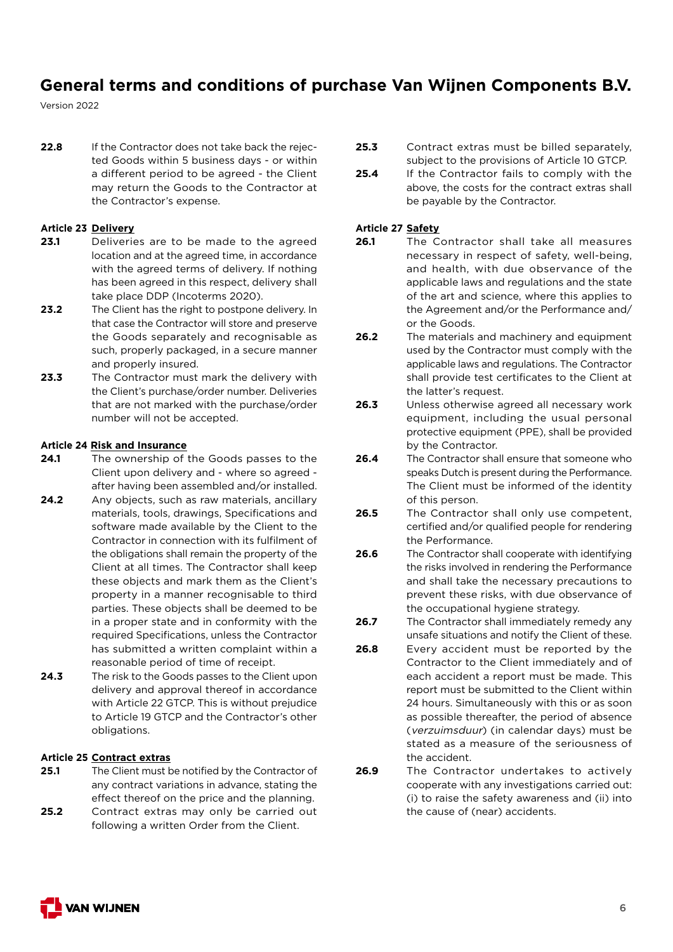Version 2022

**22.8** If the Contractor does not take back the rejected Goods within 5 business days - or within a different period to be agreed - the Client may return the Goods to the Contractor at the Contractor's expense.

#### **Article 23 Delivery**

- 23.1 Deliveries are to be made to the agreed location and at the agreed time, in accordance with the agreed terms of delivery. If nothing has been agreed in this respect, delivery shall take place DDP (Incoterms 2020).
- **23.2** The Client has the right to postpone delivery. In that case the Contractor will store and preserve the Goods separately and recognisable as such, properly packaged, in a secure manner and properly insured.
- 23.3 The Contractor must mark the delivery with the Client's purchase/order number. Deliveries that are not marked with the purchase/order number will not be accepted.

#### **Article 24 Risk and Insurance**

- **24.1** The ownership of the Goods passes to the Client upon delivery and - where so agreed after having been assembled and/or installed.
- **24.2** Any objects, such as raw materials, ancillary materials, tools, drawings, Specifications and software made available by the Client to the Contractor in connection with its fulfilment of the obligations shall remain the property of the Client at all times. The Contractor shall keep these objects and mark them as the Client's property in a manner recognisable to third parties. These objects shall be deemed to be in a proper state and in conformity with the required Specifications, unless the Contractor has submitted a written complaint within a reasonable period of time of receipt.
- **24.3** The risk to the Goods passes to the Client upon delivery and approval thereof in accordance with Article 22 GTCP. This is without prejudice to Article 19 GTCP and the Contractor's other obligations.

#### **Article 25 Contract extras**

- **25.1** The Client must be notified by the Contractor of any contract variations in advance, stating the effect thereof on the price and the planning.
- **25.2** Contract extras may only be carried out following a written Order from the Client.
- **25.3** Contract extras must be billed separately, subject to the provisions of Article 10 GTCP.
- **25.4** If the Contractor fails to comply with the above, the costs for the contract extras shall be payable by the Contractor.

### **Article 27 Safety**

- **26.1** The Contractor shall take all measures necessary in respect of safety, well-being, and health, with due observance of the applicable laws and regulations and the state of the art and science, where this applies to the Agreement and/or the Performance and/ or the Goods.
- **26.2** The materials and machinery and equipment used by the Contractor must comply with the applicable laws and regulations. The Contractor shall provide test certificates to the Client at the latter's request.
- **26.3** Unless otherwise agreed all necessary work equipment, including the usual personal protective equipment (PPE), shall be provided by the Contractor.
- **26.4** The Contractor shall ensure that someone who speaks Dutch is present during the Performance. The Client must be informed of the identity of this person.
- 26.5 The Contractor shall only use competent, certified and/or qualified people for rendering the Performance.
- **26.6** The Contractor shall cooperate with identifying the risks involved in rendering the Performance and shall take the necessary precautions to prevent these risks, with due observance of the occupational hygiene strategy.
- **26.7** The Contractor shall immediately remedy any unsafe situations and notify the Client of these.
- **26.8** Every accident must be reported by the Contractor to the Client immediately and of each accident a report must be made. This report must be submitted to the Client within 24 hours. Simultaneously with this or as soon as possible thereafter, the period of absence (verzuimsduur) (in calendar days) must be stated as a measure of the seriousness of the accident.
- **26.9** The Contractor undertakes to actively cooperate with any investigations carried out: (i) to raise the safety awareness and (ii) into the cause of (near) accidents.